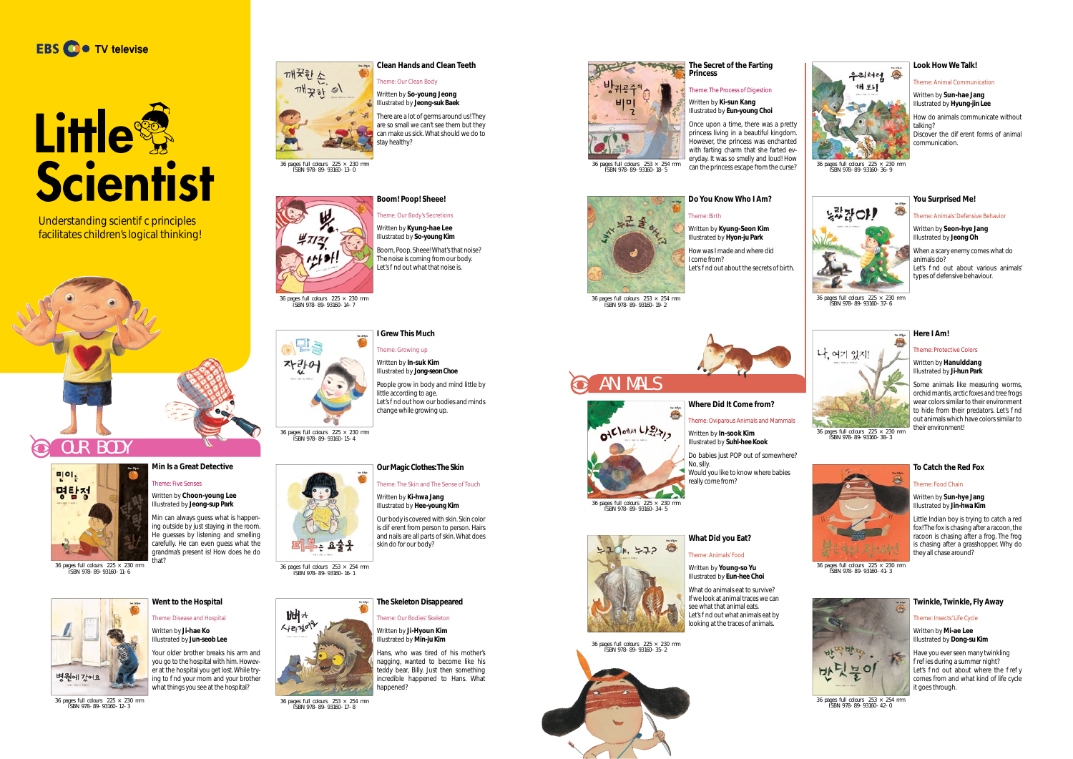ISBN 978-89-93160-14-7



깨끗한소

 $m\frac{1}{2}$ 

36 pages full colours  $253 \times 254$  mm ISBN 978-89-93160-16-1





36 pages full colours 225 × 230 mm ISBN 978-89-93160-15-4



Illustrated by **So-young Kim** Boom, Poop, Sheee! What's that noise? The noise is coming from our body. Let's nd out what that noise is.

Theme: Our Body's Secretions Written by **Kyung-hae Lee**

There are a lot of germs around us! They are so small we can't see them but they can make us sick. What should we do to stay healthy?

### **Clean Hands and Clean Teeth**

Theme: Our Clean Body Written by **So-young Jeong** Illustrated by **Jeong-suk Baek**

### **I Grew This Much**



Theme: Growing up Written by **In-suk Kim**

36 pages full colours  $253 \times 254$  mm ISBN 978-89-93160-17-8

Illustrated by **Jong-seon Choe**

Let's nd out how our bodies and minds

Understanding scienti c principles facilitates children's logical thinking!



little according to age.

## change while growing up.



**Our Magic Clothes: The Skin**

Theme: The Skin and The Sense of Touch

Written by **Ki-hwa Jang** Illustrated by **Hee-young Kim**

Our body is covered with skin. Skin color is dieferent from person to person. Hairs and nails are all parts of skin. What does skin do for our body?



36 pages full colours  $225 \times 230$  mm ISBN 978-89-93160-11-6

### **The Skeleton Disappeared**

Theme: Our Bodies' Skeleton

Written by **Ji-Hyoun Kim**  Illustrated by **Min-ju Kim** Hans, who was tired of his mother's nagging, wanted to become like his teddy bear, Billy. Just then something incredible happened to Hans. What



Written by **Kyung-Seon Kim** Illustrated by **Hyon-ju Park** How was I made and where did I come from? Let's nd out about the secrets of birth.





36 pages full colours 225 × 230 mm ISBN 978-89-93160-12-3

Do babies just POP out of somewhere? No, silly. **Would you like to know where babies** 

**Went to the Hospital** Theme: Disease and Hospital Written by **Ji-hae Ko** Illustrated by **Jun-seob Lee**

Your older brother breaks his arm and you go to the hospital with him. However at the hospital you get lost. While trying to nd your mom and your brother what things you see at the hospital?





### **Min Is a Great Detective**

### Theme: Five Senses Written by **Choon-young Lee** Illustrated by **Jeong-sup Park**

Min can always guess what is happening outside by just staying in the room. He guesses by listening and smelling carefully. He can even guess what the grandma's present is! How does he do

### **The Secret of the Farting Princess**

### Theme: The Process of Digestion

can the princess escape from the curse?

Written by **Ki-sun Kang**  Illustrated by **Eun-young Choi**

Once upon a time, there was a pretty princess living in a beautiful kingdom. However, the princess was enchanted with farting charm that she farted everyday. It was so smelly and loud! How

36 pages full colours 253 × 254 mm<br>ISBN 978-89-93160-18-5

### HI Eart  $\begin{picture}(120,110) \put(0,0){\line(1,0){15}} \put(15,0){\line(1,0){15}} \put(15,0){\line(1,0){15}} \put(15,0){\line(1,0){15}} \put(15,0){\line(1,0){15}} \put(15,0){\line(1,0){15}} \put(15,0){\line(1,0){15}} \put(15,0){\line(1,0){15}} \put(15,0){\line(1,0){15}} \put(15,0){\line(1,0){15}} \put(15,0){\line(1,0){15}} \put(15,0){\line$

**Do You Know Who I Am?** 

Theme: Birth

36 pages full colours 253 × 254 mm ISBN 978-89-93160-19-2

### **What Did you Eat?**

### Theme: Animals' Food

Written by **Young-so Yu** Illustrated by **Eun-hee Choi**

What do animals eat to survive? If we look at animal traces we can see what that animal eats. Let's nd out what animals eat by looking at the traces of animals.





면,



### **Where Did It Come from?**



Written by **In-sook Kim**  Illustrated by **Suhl-hee Kook**

really come from?

36 pages full colours 225 × 230 mm ISBN 978-89-93160-34-5

Ä

# $770$   $5720$

### **Look How We Talk!**

### Theme: Animal Communication

Written by **Sun-hae Jang**  Illustrated by **Hyung-jin Lee**

How do animals communicate without talking? Discover the di erent forms of animal communication.



36 pages full colours 225 × 230 mm ISBN 978-89-93160-36-9

### **Here I Am!**

Theme: Protective Colors

### Written by **Hanulddang**  Illustrated by **Ji-hun Park**

Some animals like measuring worms, orchid mantis, arctic foxes and tree frogs wear colors similar to their environment to hide from their predators. Let's nd out animals which have colors similar to

### **You Surprised Me!**

### Theme: Animals' Defensive Behavior

### Written by **Seon-hye Jang** Illustrated by **Jeong Oh**

When a scary enemy comes what do animals do? Let's nd out about various animals' types of defensive behaviour.



 $\frac{36}{26}$  pages full colours  $\frac{225 \times 230}{225 \times 230}$  mm **their environment!** 

36 pages full colours 225 × 230 mm ISBN 978-89-93160-37-6

### **To Catch the Red Fox**

### Theme: Food Chain

Written by **Sun-hye Jang**  Illustrated by **Jin-hwa Kim**

Little Indian boy is trying to catch a red fox! The fox is chasing after a racoon, the racoon is chasing after a frog. The frog is chasing after a grasshopper. Why do they all chase around?



36 pages full colours 225 × 230 mm ISBN 978-89-93160-41-3

### **Twinkle, Twinkle, Fly Away**

Theme: Insects' Life Cycle

Written by **Mi-ae Lee**  Illustrated by **Dong-su Kim**

Have you ever seen many twinkling re ies during a summer night? Let's nd out about where the re y comes from and what kind of life cycle it goes through.



36 pages full colours 253 × 254 mm ISBN 978-89-93160-42-0





## Little Scientist



OIE look Light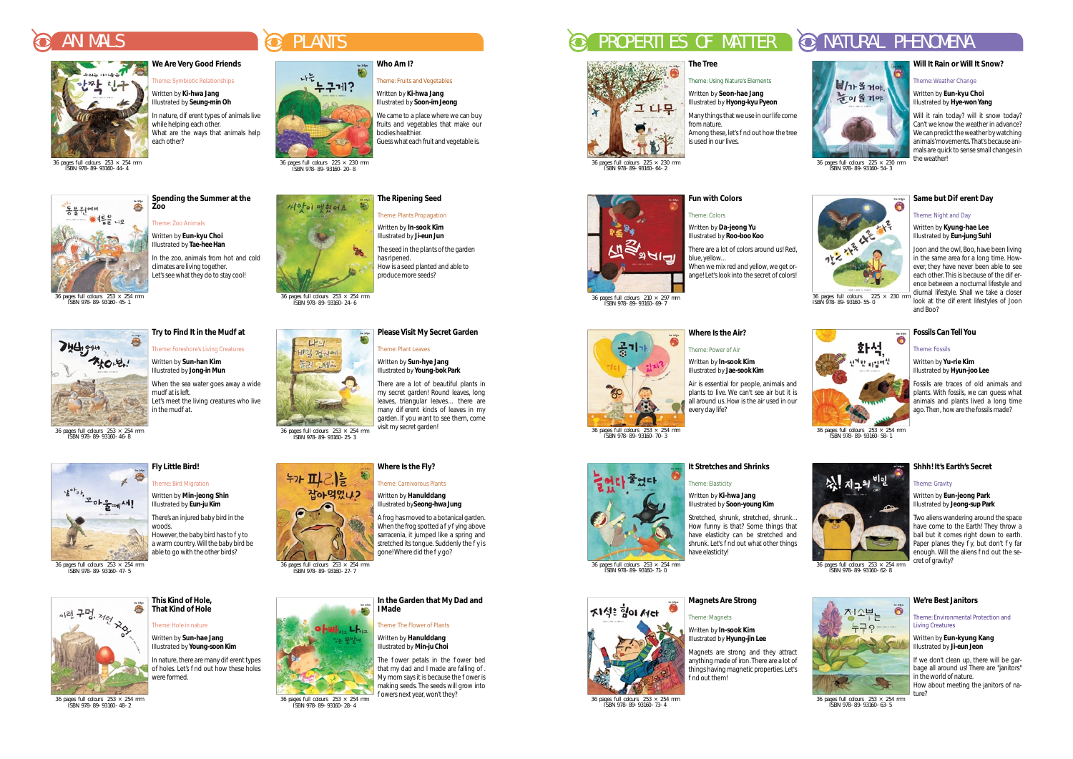**Spending the Summer at the** 

**Zoo**

Theme: Zoo Animals Written by **Eun-kyu Choi**  Illustrated by **Tae-hee Han**

climates are living together. Let's see what they do to stay cool!

In the zoo, animals from hot and cold

36 pages full colours  $253 \times 254$  mm ISBN 978-89-93160-45-1



**Try to Find It in the Mud at** Theme: Foreshore's Living Creatures Written by **Sun-han Kim**  Illustrated by **Jong-in Mun**

In nature, there are many dierent types of holes. Let's nd out how these holes were formed.

When the sea water goes away a wide

Let's meet the living creatures who live

mud at is left.

in the mud at.

36 pages full colours 253 × 254 mm ISBN 978-89-93160-46-8



However, the baby bird has to  $y$  to a warm country. Will the baby bird be able to go with the other birds?

36 pages full colours  $253 \times 254$  mm ISBN 978-89-93160-47-5



### **This Kind of Hole, That Kind of Hole**

### Theme: Hole in nature Written by **Sun-hae Jang**

Illustrated by **Young-soon Kim**

36 pages full colours 253 × 254 mm ISBN 978-89-93160-48-2

**Fly Little Bird!** Theme: Bird Migration Written by **Min-jeong Shin** Illustrated by **Eun-ju Kim**

There's an injured baby bird in the

woods.

A frog has moved to a botanical garden. When the frog spotted a  $y$  ying above sarracenia, it jumped like a spring and stretched its tongue. Suddenly the y is gone! Where did the y go?

### **Please Visit My Secret Garden**

## Theme: Plant Leaves

### ANIMALS ANIMALS CONSTRUCTED AN ANIMALS PROPERTIES OF MATTER OF MATTER OF MATURAL PHENOMENA



Written by **Sun-hye Jang**  Illustrated by **Young-bok Park**



 $\frac{36 \text{ pages full columns}}{1 \text{ SBN } 978 - 89 - 93160 - 28 - 4}$  owers next year, won't they?



# 그다무

There are a lot of beautiful plants in my secret garden! Round leaves, long leaves, triangular leaves... there are many di erent kinds of leaves in my garden. If you want to see them, come

 $\frac{36 \text{ pages full colours} 253 \times 254 \text{ mm}}{1 \text{ SBN } 978 \cdot 89 \cdot 93160 \cdot 25 \cdot 3}$  visit my secret garden!

**Symbiotic Relationships** Written by **Ki-hwa Jang** Illustrated by **Seung-min Oh**

In nature, di erent types of animals live while helping each other. What are the ways that animals help each other?

> **The Ripening Seed**  Theme: Plants Propagation Written by **In-sook Kim**

**Theme: Fruits and Vegetables** 

We came to a place where we can buy

The seed in the plants of the garden

has ripened.

How is a seed planted and able to

produce more seeds?

Magnets are strong and they attract anything made of iron. There are a lot of things having magnetic properties. Let's nd out them!

36 pages full colours  $253 \times 254$  mm ISBN 978-89-93160-71-0





36 pages full colours 225 × 230 mm ISBN 978-89-93160-20-8



36 pages full colours  $253 \times 254$  mm ISBN 978-89-93160-24-6



### Theme: Carnivorous Plants

Written by **Hanulddang** Illustrated by**Seong-hwa Jung**



### **In the Garden that My Dad and I Made**



**We Are Very Good Friends**

 $\frac{1}{36}$  pages full colours  $225 \times 230$  m ISBN 978-89-93160-55-0

화석,

신기한 타입어선

36 pages full colours 253 × 254 mm ISBN 978-89-93160-44-4



36 pages full colours 225 × 230 mm ISBN 978-89-93160-64-2



**The Tree**

### Theme: Using Nature's Elements

Written by **Seon-hae Jang** Illustrated by **Hyong-kyu Pyeon**

Many things that we use in our life come from nature. Among these, let's nd out how the tree is used in our lives.

36 pages full colours 253 × 254 mm ISBN 978-89-93160-73-4

### **Magnets Are Strong**

Theme: Magnets

### Written by **In-sook Kim** Illustrated by **Hyung-jin Lee**



### **It Stretches and Shrinks**

### Theme: Elasticity

Written by **Ki-hwa Jang**  Illustrated by **Soon-young Kim**

Stretched, shrunk, stretched, shrunk... How funny is that? Some things that have elasticity can be stretched and shrunk. Let's nd out what other things have elasticity!

36 pages full colours 253 × 254 mm ISBN 978-89-93160-70-3

### **Where Is the Air?**

### Theme: Power of Air

Written by **In-sook Kim**  Illustrated by **Jae-sook Kim** 

Air is essential for people, animals and plants to live. We can't see air but it is all around us. How is the air used in our every day life?

36 pages full colours 210 × 297 mm ISBN 978-89-93160-69-7

공가

**Fun with Colors**

Theme: Colors Written by **Da-jeong Yu** 

Illustrated by **Roo-boo Koo**

There are a lot of colors around us! Red, blue, yellow... When we mix red and yellow, we get or-

ange! Let's look into the secret of colors!

36 pages full colours 225 × 230 mm ISBN 978-89-93160-54-3

# Ä

### **Will It Rain or Will It Snow?**

Theme: Weather Change

Written by **Eun-kyu Choi**  Illustrated by **Hye-won Yang**

Will it rain today? will it snow today? Can't we know the weather in advance? We can predict the weather by watching animals' movements. That's because animals are quick to sense small changes in the weather!

### **Same but Diearent Day**

### **Shhh! It's Earth's Secret**

### Theme: Gravity

Written by **Eun-jeong Park** Illustrated by **Jeong-sup Park**

Two aliens wandering around the space have come to the Earth! They throw a ball but it comes right down to earth. Paper planes they y, but don't y far enough. Will the aliens nd out the secret of gravity?



**ture?**<br>36 pages full colours 253 × 254 mm<br>ISBN 978-89-93160-63-5

### Theme: Night and Day

Written by **Kyung-hae Lee**  Illustrated by **Eun-jung Suhl**

Joon and the owl, Boo, have been living in the same area for a long time. However, they have never been able to see each other. This is because of the dierence between a nocturnal lifestyle and diurnal lifestyle. Shall we take a closer look at the di erent lifestyles of Joon and Boo?



36 pages full colours  $253 \times 254$  mm ISBN 978-89-93160-62-8

### **We're Best Janitors**

Theme: Environmental Protection and Living Creatures

Written by **Eun-kyung Kang**  Illustrated by **Ji-eun Jeon**

If we don't clean up, there will be garbage all around us! There are "janitors" in the world of nature. How about meeting the janitors of na-

### **Fossils Can Tell You**

### Theme: Fossils

ä

Written by **Yu-rie Kim**  Illustrated by **Hyun-joo Lee**

Fossils are traces of old animals and plants. With fossils, we can guess what animals and plants lived a long time ago. Then, how are the fossils made?